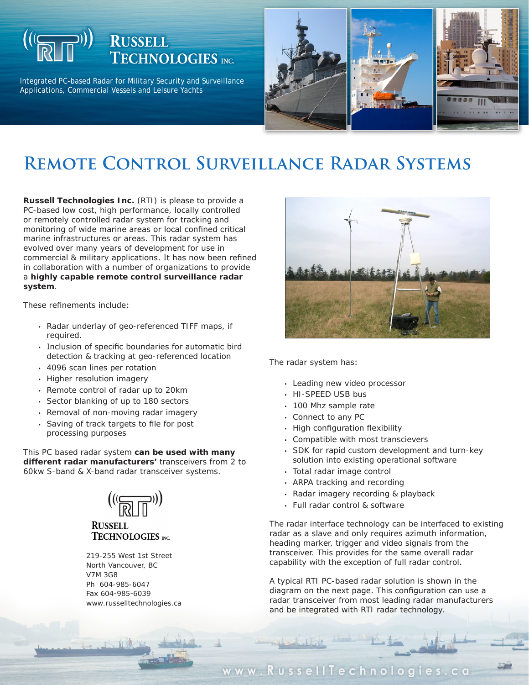## **RUSSELL TECHNOLOGIES** INC.

Integrated PC-based Radar for Military Security and Surveillance Applications, Commercial Vessels and Leisure Yachts



# **Remote Control Surveillance Radar Systems**

**Russell Technologies Inc.** (RTI) is please to provide a PC-based low cost, high performance, locally controlled or remotely controlled radar system for tracking and monitoring of wide marine areas or local confined critical marine infrastructures or areas. This radar system has evolved over many years of development for use in commercial & military applications. It has now been refined in collaboration with a number of organizations to provide a **highly capable remote control surveillance radar system**.

These refinements include:

- Radar underlay of geo-referenced TIFF maps, if required.
- Inclusion of specific boundaries for automatic bird detection & tracking at geo-referenced location •
- 4096 scan lines per rotation •
- Higher resolution imagery
- Remote control of radar up to 20km
- Sector blanking of up to 180 sectors
- Removal of non-moving radar imagery
- Saving of track targets to file for post processing purposes

This PC based radar system **can be used with many different radar manufacturers'** transceivers from 2 to 60kw S-band & X-band radar transceiver systems.



### **RUSSELL TECHNOLOGIES** INC.

219-255 West 1st Street North Vancouver, BC V7M 3G8 Ph 604-985-6047 Fax 604-985-6039 www.russelltechnologies.ca



The radar system has:

- Leading new video processor
- HI-SPEED USB bus
- 100 Mhz sample rate
- Connect to any PC
- High configuration flexibility
- Compatible with most transcievers
- SDK for rapid custom development and turn-key solution into existing operational software
- Total radar image control
- ARPA tracking and recording
- Radar imagery recording & playback
- Full radar control & software

The radar interface technology can be interfaced to existing radar as a slave and only requires azimuth information, heading marker, trigger and video signals from the transceiver. This provides for the same overall radar capability with the exception of full radar control.

A typical RTI PC-based radar solution is shown in the diagram on the next page. This configuration can use a radar transceiver from most leading radar manufacturers and be integrated with RTI radar technology.

### www.RussellTechnologies.ca